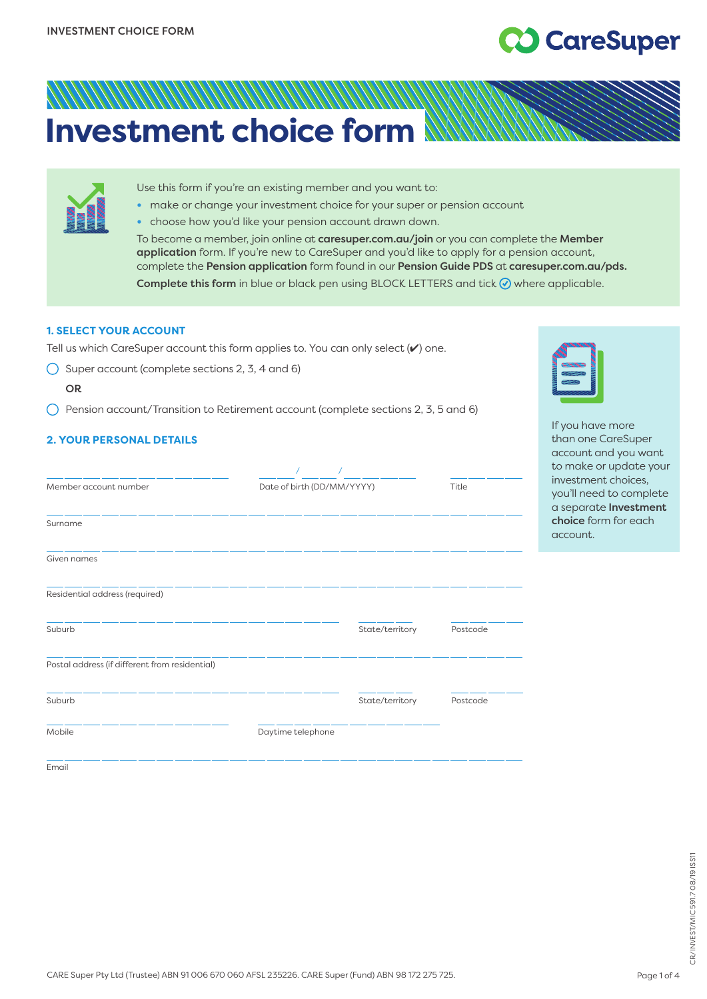# **CO** CareSuper

## ANANANA MANANA MA **Investment choice form**

| Use this form if you're an existing member and you want to:<br>make or change your investment choice for your super or pension account<br>· choose how you'd like your pension account drawn down.<br>To become a member, join online at caresuper.com.au/join or you can complete the Member |
|-----------------------------------------------------------------------------------------------------------------------------------------------------------------------------------------------------------------------------------------------------------------------------------------------|
| application form. If you're new to CareSuper and you'd like to apply for a pension account,<br>complete the Pension application form found in our Pension Guide PDS at caresuper.com.au/pds.<br>Complete this form in blue or black pen using BLOCK LETTERS and tick ⊙ where applicable.      |

### **1. SELECT YOUR ACCOUNT**

Tell us which CareSuper account this form applies to. You can only select (✔) one.

 $\bigcirc$  Super account (complete sections 2, 3, 4 and 6)

OR

Email

 $\bigcap$  Pension account/Transition to Retirement account (complete sections 2, 3, 5 and 6)

## **2. YOUR PERSONAL DETAILS**

| Member account number                          | Date of birth (DD/MM/YYYY) |                 | Title    |
|------------------------------------------------|----------------------------|-----------------|----------|
| Surname                                        |                            |                 |          |
| Given names                                    |                            |                 |          |
| Residential address (required)                 |                            |                 |          |
| Suburb                                         |                            | State/territory | Postcode |
| Postal address (if different from residential) |                            |                 |          |
| Suburb                                         |                            | State/territory | Postcode |
| Mobile                                         | Daytime telephone          |                 |          |
|                                                |                            |                 |          |



If you have more than one CareSuper account and you want to make or update your investment choices, you'll need to complete a separate Investment choice form for each account.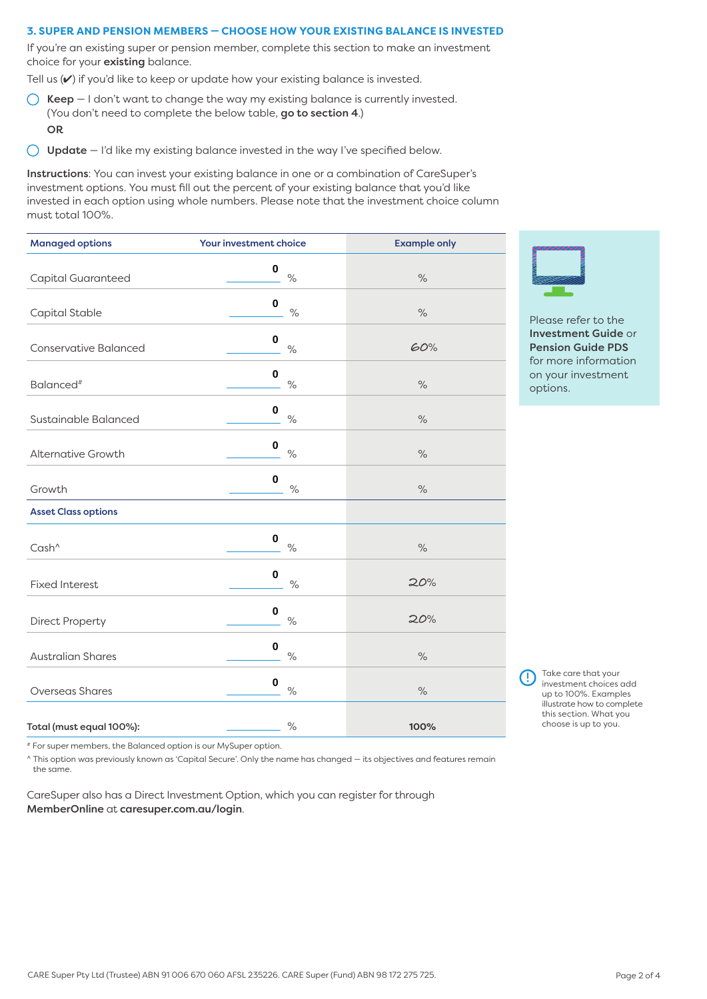#### **3. SUPER AND PENSION MEMBERS — CHOOSE HOW YOUR EXISTING BALANCE IS INVESTED**

If you're an existing super or pension member, complete this section to make an investment choice for your existing balance.

Tell us  $(V)$  if you'd like to keep or update how your existing balance is invested.

- $\bigcap$  Keep I don't want to change the way my existing balance is currently invested. (You don't need to complete the below table, go to section 4.) OR
- $\bigcirc$  Update I'd like my existing balance invested in the way I've specified below.

Instructions: You can invest your existing balance in one or a combination of CareSuper's investment options. You must fill out the percent of your existing balance that you'd like invested in each option using whole numbers. Please note that the investment choice column must total 100%.

| <b>Managed options</b>       | Your investment choice            | <b>Example only</b>  |  |
|------------------------------|-----------------------------------|----------------------|--|
| Capital Guaranteed           | 0<br>$\frac{1}{\sqrt{2}}$         | $\frac{1}{\sqrt{2}}$ |  |
| Capital Stable               | $\pmb{0}$<br>$\%$                 | $\frac{1}{\sqrt{2}}$ |  |
| <b>Conservative Balanced</b> | $\pmb{0}$<br>$\%$                 | 60%                  |  |
| Balanced <sup>#</sup>        | $\mathbf 0$<br>$\%$               | $\%$                 |  |
| Sustainable Balanced         | $\pmb{0}$<br>$\%$                 | $\frac{1}{\sqrt{2}}$ |  |
| <b>Alternative Growth</b>    | $\pmb{0}$<br>$\%$                 | $\%$                 |  |
| Growth                       | $\pmb{0}$<br>$\%$                 | $\%$                 |  |
| <b>Asset Class options</b>   |                                   |                      |  |
| Cash <sup>^</sup>            | $\pmb{0}$<br>$\%$                 | $\%$                 |  |
| <b>Fixed Interest</b>        | $\bf{0}$<br>$\%$                  | 20%                  |  |
| Direct Property              | $\mathbf 0$<br>$\%$               | 20%                  |  |
| <b>Australian Shares</b>     | $\mathbf 0$<br>$\%$               | $\%$                 |  |
| <b>Overseas Shares</b>       | $\pmb{0}$<br>$\frac{1}{\sqrt{2}}$ | $\%$                 |  |
| Total (must equal 100%):     | $\%$                              | 100%                 |  |

Please refer to the Investment Guide or Pension Guide PDS for more information on your investment options.

Take care that your investment choices add up to 100%. Examples illustrate how to complete this section. What you choose is up to you.

# For super members, the Balanced option is our MySuper option.

^ This option was previously known as 'Capital Secure'. Only the name has changed — its objectives and features remain the same.

CareSuper also has a Direct Investment Option, which you can register for through MemberOnline at [caresuper.com.au/login](http://www.caresuper.com.au/login).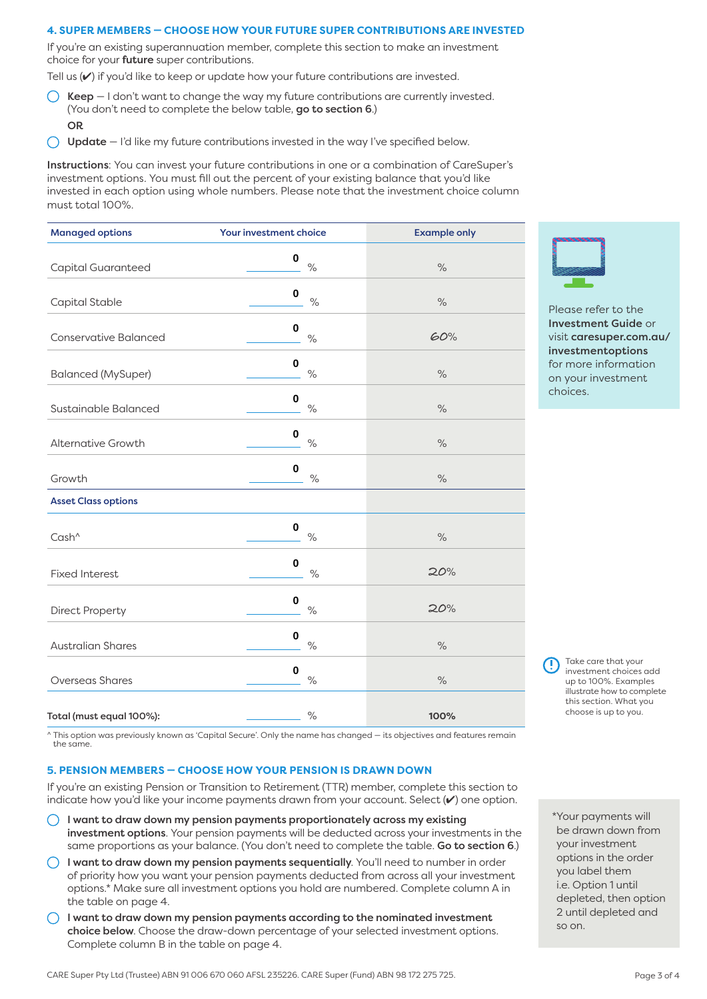#### **4. SUPER MEMBERS — CHOOSE HOW YOUR FUTURE SUPER CONTRIBUTIONS ARE INVESTED**

If you're an existing superannuation member, complete this section to make an investment choice for your **future** super contributions.

Tell us  $(\vee)$  if you'd like to keep or update how your future contributions are invested.

- $\bigcirc$  Keep I don't want to change the way my future contributions are currently invested. (You don't need to complete the below table, go to section 6.) OR
- Update I'd like my future contributions invested in the way I've specified below.  $\left( \right)$

Instructions: You can invest your future contributions in one or a combination of CareSuper's investment options. You must fill out the percent of your existing balance that you'd like invested in each option using whole numbers. Please note that the investment choice column must total 100%.

| <b>Managed options</b>       | Your investment choice | <b>Example only</b> |
|------------------------------|------------------------|---------------------|
| Capital Guaranteed           | 0<br>$\%$              | $\frac{0}{0}$       |
| Capital Stable               | 0<br>$\%$              | $\%$                |
| <b>Conservative Balanced</b> | $\mathbf 0$<br>$\%$    | 60%                 |
| <b>Balanced (MySuper)</b>    | $\bf{0}$<br>$\%$       | $\%$                |
| Sustainable Balanced         | $\bf{0}$<br>$\%$       | $\%$                |
| <b>Alternative Growth</b>    | $\pmb{0}$<br>$\%$      | $\%$                |
| Growth                       | $\bf{0}$<br>$\%$       | $\%$                |
| <b>Asset Class options</b>   |                        |                     |
| Cash <sup>^</sup>            | $\pmb{0}$<br>$\%$      | $\%$                |
| <b>Fixed Interest</b>        | $\bf{0}$<br>$\%$       | 20%                 |
| <b>Direct Property</b>       | $\bf{0}$<br>$\%$       | 20%                 |
| <b>Australian Shares</b>     | $\bf{0}$<br>$\%$       | $\%$                |
| <b>Overseas Shares</b>       | $\bf{0}$<br>$\%$       | $\%$                |
| Total (must equal 100%):     | $\%$                   | 100%                |

Please refer to the Investment Guide or visit [caresuper.com.au/](http://www.caresuper.com.au/investmentoptions) investmentoptions for more information on your investment choices.

 Take care that your investment choices add up to 100%. Examples illustrate how to complete this section. What you choose is up to you.

^ This option was previously known as 'Capital Secure'. Only the name has changed — its objectives and features remain the same.

#### **5. PENSION MEMBERS — CHOOSE HOW YOUR PENSION IS DRAWN DOWN**

If you're an existing Pension or Transition to Retirement (TTR) member, complete this section to indicate how you'd like your income payments drawn from your account. Select (✔) one option.

- I want to draw down my pension payments proportionately across my existing  $\left(\begin{array}{c} \end{array}\right)$ investment options. Your pension payments will be deducted across your investments in the same proportions as your balance. (You don't need to complete the table. Go to section 6.)
- $\bigcirc$  I want to draw down my pension payments sequentially. You'll need to number in order of priority how you want your pension payments deducted from across all your investment options.\* Make sure all investment options you hold are numbered. Complete column A in the table on page 4.
- $\bigcirc$  I want to draw down my pension payments according to the nominated investment choice below. Choose the draw-down percentage of your selected investment options. Complete column B in the table on page 4.

\*Your payments will be drawn down from your investment options in the order you label them i.e. Option 1 until depleted, then option 2 until depleted and so on.